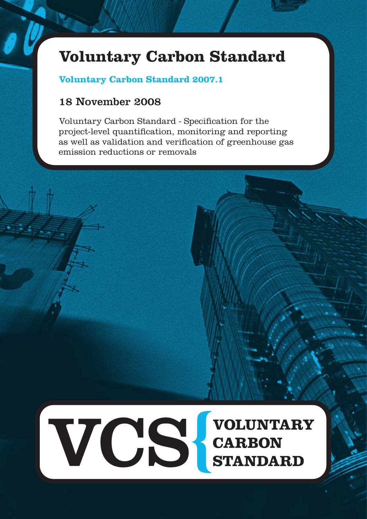# **Voluntary Carbon Standard**

# **Voluntary Carbon Standard 2007.1**

# 18 November 2008

Voluntary Carbon Standard - Specification for the project-level quantification, monitoring and reporting as well as validation and verification of greenhouse gas emission reductions or removals

VCS CARBON<br>STANDARD **VOLUNTARY**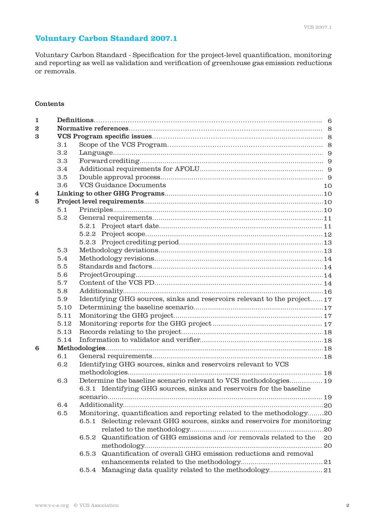# **Voluntary Carbon Standard 2007.1**

Voluntary Carbon Standard - Specification for the project-level quantification, monitoring and reporting as well as validation and verification of greenhouse gas emission reductions or removals.

# Contents

| $\mathbf{1}$     |      |                                                                              |    |  |  |  |  |
|------------------|------|------------------------------------------------------------------------------|----|--|--|--|--|
| $\boldsymbol{2}$ |      |                                                                              |    |  |  |  |  |
| 3                |      |                                                                              |    |  |  |  |  |
|                  | 3.1  |                                                                              |    |  |  |  |  |
|                  | 3.2  |                                                                              |    |  |  |  |  |
| 3.3<br>3.4       |      |                                                                              |    |  |  |  |  |
|                  |      |                                                                              |    |  |  |  |  |
|                  | 3.5  |                                                                              |    |  |  |  |  |
|                  | 3.6  | <b>VCS Guidance Documents</b>                                                | 10 |  |  |  |  |
| 4                |      |                                                                              |    |  |  |  |  |
| 5                |      |                                                                              |    |  |  |  |  |
|                  | 5.1  |                                                                              |    |  |  |  |  |
|                  | 5.2  |                                                                              |    |  |  |  |  |
|                  |      |                                                                              |    |  |  |  |  |
|                  |      |                                                                              |    |  |  |  |  |
|                  |      |                                                                              |    |  |  |  |  |
|                  | 5.3  |                                                                              |    |  |  |  |  |
|                  | 5.4  |                                                                              |    |  |  |  |  |
|                  | 5.5  |                                                                              |    |  |  |  |  |
|                  | 5.6  |                                                                              |    |  |  |  |  |
|                  | 5.7  |                                                                              |    |  |  |  |  |
|                  | 5.8  |                                                                              |    |  |  |  |  |
|                  | 5.9  | Identifying GHG sources, sinks and reservoirs relevant to the project 17     |    |  |  |  |  |
|                  | 5.10 |                                                                              |    |  |  |  |  |
|                  | 5.11 |                                                                              |    |  |  |  |  |
|                  | 5.12 |                                                                              |    |  |  |  |  |
|                  | 5.13 |                                                                              |    |  |  |  |  |
|                  | 5.14 |                                                                              |    |  |  |  |  |
| 6                |      |                                                                              |    |  |  |  |  |
|                  | 6.1  |                                                                              |    |  |  |  |  |
|                  | 6.2  | Identifying GHG sources, sinks and reservoirs relevant to VCS                |    |  |  |  |  |
|                  |      |                                                                              |    |  |  |  |  |
|                  | 6.3  | Determine the baseline scenario relevant to VCS methodologies 19             |    |  |  |  |  |
|                  |      | 6.3.1 Identifying GHG sources, sinks and reservoirs for the baseline         |    |  |  |  |  |
|                  |      |                                                                              |    |  |  |  |  |
|                  | 6.4  |                                                                              |    |  |  |  |  |
|                  | 6.5  | Monitoring, quantification and reporting related to the methodology20        |    |  |  |  |  |
|                  |      | Selecting relevant GHG sources, sinks and reservoirs for monitoring<br>6.5.1 |    |  |  |  |  |
|                  |      |                                                                              |    |  |  |  |  |
|                  |      | Quantification of GHG emissions and /or removals related to the<br>6.5.2     | 20 |  |  |  |  |
|                  |      |                                                                              |    |  |  |  |  |
|                  |      | Quantification of overall GHG emission reductions and removal<br>6.5.3       |    |  |  |  |  |
|                  |      |                                                                              |    |  |  |  |  |
|                  |      | 6.5.4                                                                        |    |  |  |  |  |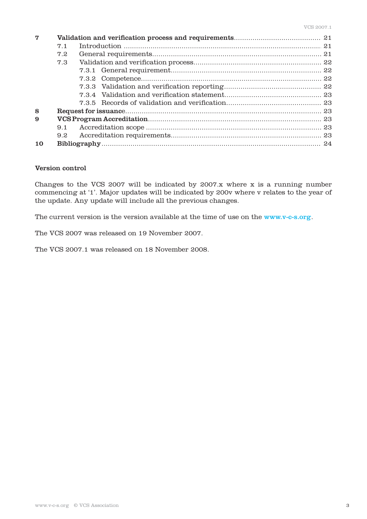| 7  |               |  |  |  |  |  |
|----|---------------|--|--|--|--|--|
|    | 7.1           |  |  |  |  |  |
|    | 7.2           |  |  |  |  |  |
|    | 7.3           |  |  |  |  |  |
|    |               |  |  |  |  |  |
|    |               |  |  |  |  |  |
|    |               |  |  |  |  |  |
|    |               |  |  |  |  |  |
|    |               |  |  |  |  |  |
| 8  |               |  |  |  |  |  |
| 9  |               |  |  |  |  |  |
|    | 9.1           |  |  |  |  |  |
|    | $9.2^{\circ}$ |  |  |  |  |  |
| 10 |               |  |  |  |  |  |

# Version control

Changes to the VCS 2007 will be indicated by 2007.x where x is a running number commencing at '1'. Major updates will be indicated by 200v where v relates to the year of the update. Any update will include all the previous changes.

The current version is the version available at the time of use on the www.v-c-s.org.

The VCS 2007 was released on 19 November 2007.

The VCS 2007.1 was released on 18 November 2008.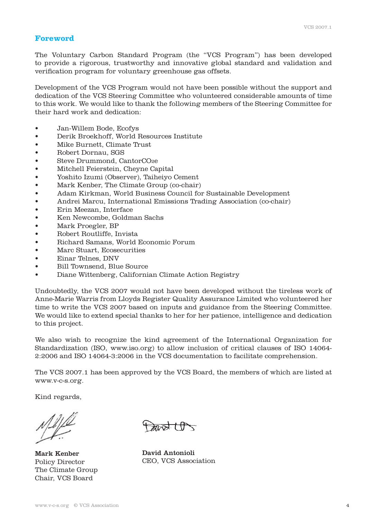# **Foreword**

The Voluntary Carbon Standard Program (the "VCS Program") has been developed to provide a rigorous, trustworthy and innovative global standard and validation and verification program for voluntary greenhouse gas offsets.

Development of the VCS Program would not have been possible without the support and dedication of the VCS Steering Committee who volunteered considerable amounts of time to this work. We would like to thank the following members of the Steering Committee for their hard work and dedication:

- • Jan-Willem Bode, Ecofys
- • Derik Broekhoff, World Resources Institute
- Mike Burnett, Climate Trust
- • Robert Dornau, SGS
- Steve Drummond, CantorCO2e
- Mitchell Feierstein, Cheyne Capital
- • Yoshito Izumi (Observer), Taiheiyo Cement
- Mark Kenber, The Climate Group (co-chair)
- • Adam Kirkman, World Business Council for Sustainable Development
- Andrei Marcu, International Emissions Trading Association (co-chair)
- Erin Meezan, Interface
- Ken Newcombe, Goldman Sachs
- Mark Proegler, BP
- • Robert Routliffe, Invista
- Richard Samans, World Economic Forum
- Marc Stuart, Ecosecurities
- Einar Telnes, DNV
- Bill Townsend, Blue Source
- Diane Wittenberg, Californian Climate Action Registry

Undoubtedly, the VCS 2007 would not have been developed without the tireless work of Anne-Marie Warris from Lloyds Register Quality Assurance Limited who volunteered her time to write the VCS 2007 based on inputs and guidance from the Steering Committee. We would like to extend special thanks to her for her patience, intelligence and dedication to this project.

We also wish to recognize the kind agreement of the International Organization for Standardization (ISO, www.iso.org) to allow inclusion of critical clauses of ISO 14064- 2:2006 and ISO 14064-3:2006 in the VCS documentation to facilitate comprehension.

The VCS 2007.1 has been approved by the VCS Board, the members of which are listed at www.v-c-s.org.

Kind regards,

Mark Kenber Policy Director The Climate Group Chair, VCS Board 

केन्द्र $\pm\theta$ 

David Antonioli CEO, VCS Association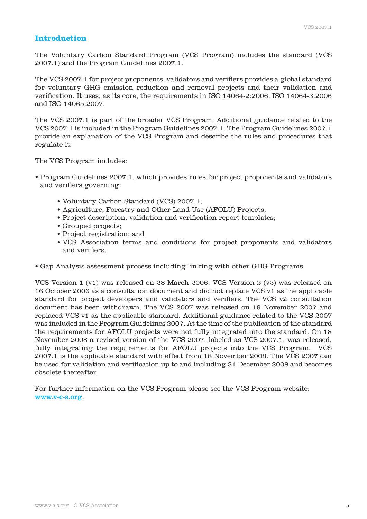# **Introduction**

The Voluntary Carbon Standard Program (VCS Program) includes the standard (VCS 2007.1) and the Program Guidelines 2007.1.

The VCS 2007.1 for project proponents, validators and verifiers provides a global standard for voluntary GHG emission reduction and removal projects and their validation and verification. It uses, as its core, the requirements in ISO 14064-2:2006, ISO 14064-3:2006 and ISO 14065:2007.

The VCS 2007.1 is part of the broader VCS Program. Additional guidance related to the VCS 2007.1 is included in the Program Guidelines 2007.1. The Program Guidelines 2007.1 provide an explanation of the VCS Program and describe the rules and procedures that regulate it.

The VCS Program includes:

- Program Guidelines 2007.1, which provides rules for project proponents and validators and verifiers governing:
	- Voluntary Carbon Standard (VCS) 2007.1;
	- Agriculture, Forestry and Other Land Use (AFOLU) Projects;
	- Project description, validation and verification report templates;
	- Grouped projects;
	- Project registration; and
	- VCS Association terms and conditions for project proponents and validators and verifiers.
- Gap Analysis assessment process including linking with other GHG Programs.

VCS Version 1 (v1) was released on 28 March 2006. VCS Version 2 (v2) was released on 16 October 2006 as a consultation document and did not replace VCS v1 as the applicable standard for project developers and validators and verifiers. The VCS v2 consultation document has been withdrawn. The VCS 2007 was released on 19 November 2007 and replaced VCS v1 as the applicable standard. Additional guidance related to the VCS 2007 was included in the Program Guidelines 2007. At the time of the publication of the standard the requirements for AFOLU projects were not fully integrated into the standard. On 18 November 2008 a revised version of the VCS 2007, labeled as VCS 2007.1, was released, fully integrating the requirements for AFOLU projects into the VCS Program. VCS 2007.1 is the applicable standard with effect from 18 November 2008. The VCS 2007 can be used for validation and verification up to and including 31 December 2008 and becomes obsolete thereafter.

For further information on the VCS Program please see the VCS Program website: www.v-c-s.org.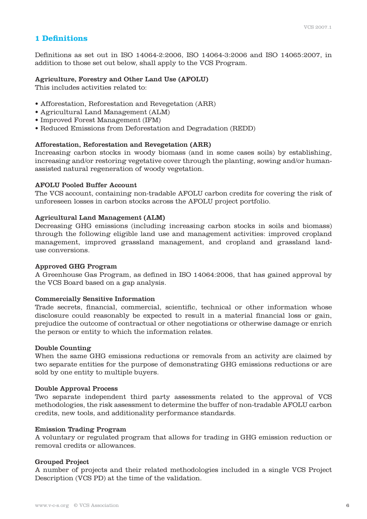# **1 Definitions**

Definitions as set out in ISO 14064-2:2006, ISO 14064-3:2006 and ISO 14065:2007, in addition to those set out below, shall apply to the VCS Program.

#### Agriculture, Forestry and Other Land Use (AFOLU)

This includes activities related to:

- Afforestation, Reforestation and Revegetation (ARR)
- Agricultural Land Management (ALM)
- Improved Forest Management (IFM)
- Reduced Emissions from Deforestation and Degradation (REDD)

#### Afforestation, Reforestation and Revegetation (ARR)

Increasing carbon stocks in woody biomass (and in some cases soils) by establishing, increasing and/or restoring vegetative cover through the planting, sowing and/or humanassisted natural regeneration of woody vegetation.

### AFOLU Pooled Buffer Account

The VCS account, containing non-tradable AFOLU carbon credits for covering the risk of unforeseen losses in carbon stocks across the AFOLU project portfolio.

#### Agricultural Land Management (ALM)

Decreasing GHG emissions (including increasing carbon stocks in soils and biomass) through the following eligible land use and management activities: improved cropland management, improved grassland management, and cropland and grassland landuse conversions.

#### Approved GHG Program

A Greenhouse Gas Program, as defined in ISO 14064:2006, that has gained approval by the VCS Board based on a gap analysis.

#### Commercially Sensitive Information

Trade secrets, financial, commercial, scientific, technical or other information whose disclosure could reasonably be expected to result in a material financial loss or gain, prejudice the outcome of contractual or other negotiations or otherwise damage or enrich the person or entity to which the information relates.

#### Double Counting

When the same GHG emissions reductions or removals from an activity are claimed by two separate entities for the purpose of demonstrating GHG emissions reductions or are sold by one entity to multiple buyers.

#### Double Approval Process

Two separate independent third party assessments related to the approval of VCS methodologies, the risk assessment to determine the buffer of non-tradable AFOLU carbon credits, new tools, and additionality performance standards.

#### Emission Trading Program

A voluntary or regulated program that allows for trading in GHG emission reduction or removal credits or allowances.

#### Grouped Project

A number of projects and their related methodologies included in a single VCS Project Description (VCS PD) at the time of the validation.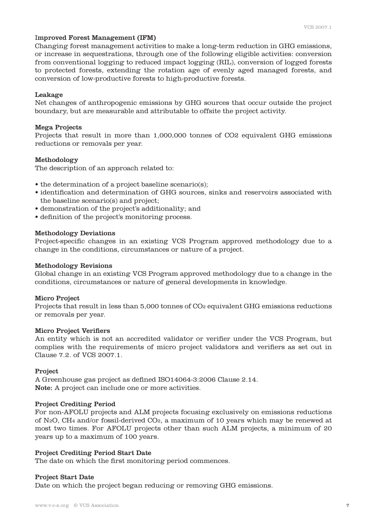# Improved Forest Management (IFM)

Changing forest management activities to make a long-term reduction in GHG emissions, or increase in sequestrations, through one of the following eligible activities: conversion from conventional logging to reduced impact logging (RIL), conversion of logged forests to protected forests, extending the rotation age of evenly aged managed forests, and conversion of low-productive forests to high-productive forests.

#### Leakage

Net changes of anthropogenic emissions by GHG sources that occur outside the project boundary, but are measurable and attributable to offsite the project activity.

#### Mega Projects

Projects that result in more than 1,000,000 tonnes of CO2 equivalent GHG emissions reductions or removals per year.

#### Methodology

The description of an approach related to:

- the determination of a project baseline scenario(s);
- identification and determination of GHG sources, sinks and reservoirs associated with the baseline scenario(s) and project;
- demonstration of the project's additionality; and
- definition of the project's monitoring process.

#### Methodology Deviations

Project-specific changes in an existing VCS Program approved methodology due to a change in the conditions, circumstances or nature of a project.

#### Methodology Revisions

Global change in an existing VCS Program approved methodology due to a change in the conditions, circumstances or nature of general developments in knowledge.

#### Micro Project

Projects that result in less than 5,000 tonnes of CO2 equivalent GHG emissions reductions or removals per year.

#### Micro Project Verifiers

An entity which is not an accredited validator or verifier under the VCS Program, but complies with the requirements of micro project validators and verifiers as set out in Clause 7.2. of VCS 2007.1.

#### Project

A Greenhouse gas project as defined ISO14064-3:2006 Clause 2.14. Note: A project can include one or more activities.

## Project Crediting Period

For non-AFOLU projects and ALM projects focusing exclusively on emissions reductions of N2O, CH4 and/or fossil-derived CO2, a maximum of 10 years which may be renewed at most two times. For AFOLU projects other than such ALM projects, a minimum of 20 years up to a maximum of 100 years.

#### Project Crediting Period Start Date

The date on which the first monitoring period commences.

#### Project Start Date

Date on which the project began reducing or removing GHG emissions.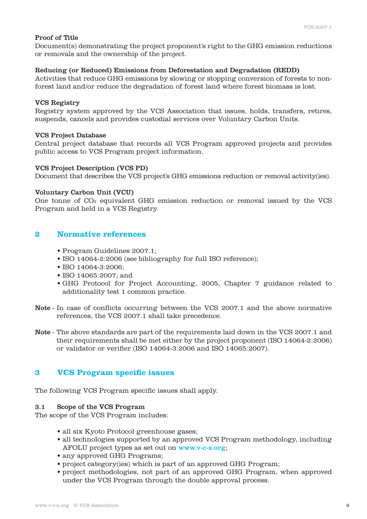# Proof of Title

Document(s) demonstrating the project proponent's right to the GHG emission reductions or removals and the ownership of the project.

# Reducing (or Reduced) Emissions from Deforestation and Degradation (REDD)

Activities that reduce GHG emissions by slowing or stopping conversion of forests to nonforest land and/or reduce the degradation of forest land where forest biomass is lost.

# VCS Registry

Registry system approved by the VCS Association that issues, holds, transfers, retires, suspends, cancels and provides custodial services over Voluntary Carbon Units.

# VCS Project Database

Central project database that records all VCS Program approved projects and provides public access to VCS Program project information.

# VCS Project Description (VCS PD)

Document that describes the VCS project's GHG emissions reduction or removal activity(ies).

# Voluntary Carbon Unit (VCU)

One tonne of CO2 equivalent GHG emission reduction or removal issued by the VCS Program and held in a VCS Registry.

# **2 Normative references**

- Program Guidelines 2007.1;
- ISO 14064-2:2006 (see bibliography for full ISO reference);
- ISO 14064-3:2006;
- ISO 14065:2007: and
- GHG Protocol for Project Accounting, 2005, Chapter 7 guidance related to additionality test 1 common practice.
- Note In case of conflicts occurring between the VCS 2007.1 and the above normative references, the VCS 2007.1 shall take precedence.
- Note The above standards are part of the requirements laid down in the VCS 2007.1 and their requirements shall be met either by the project proponent (ISO 14064-2:2006) or validator or verifier (ISO 14064-3:2006 and ISO 14065:2007).

# **3 VCS Program specific issues**

The following VCS Program specific issues shall apply.

# 3.1 Scope of the VCS Program

The scope of the VCS Program includes:

- all six Kyoto Protocol greenhouse gases;
- all technologies supported by an approved VCS Program methodology, including AFOLU project types as set out on www.v-c-s.org;
- any approved GHG Programs;
- project category(ies) which is part of an approved GHG Program;
- project methodologies, not part of an approved GHG Program, when approved under the VCS Program through the double approval process.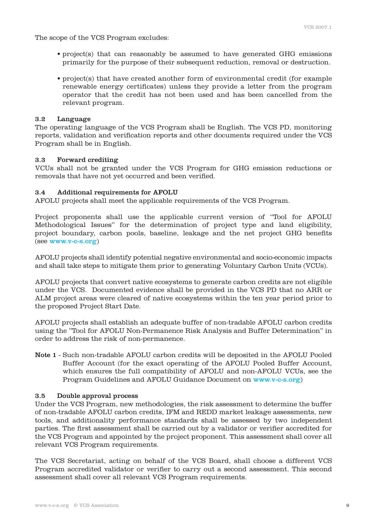The scope of the VCS Program excludes:

- project(s) that can reasonably be assumed to have generated GHG emissions primarily for the purpose of their subsequent reduction, removal or destruction.
- project(s) that have created another form of environmental credit (for example renewable energy certificates) unless they provide a letter from the program operator that the credit has not been used and has been cancelled from the relevant program.

# 3.2 Language

The operating language of the VCS Program shall be English. The VCS PD, monitoring reports, validation and verification reports and other documents required under the VCS Program shall be in English.

# 3.3 Forward crediting

VCUs shall not be granted under the VCS Program for GHG emission reductions or removals that have not yet occurred and been verified.

# 3.4 Additional requirements for AFOLU

AFOLU projects shall meet the applicable requirements of the VCS Program.

Project proponents shall use the applicable current version of "Tool for AFOLU Methodological Issues" for the determination of project type and land eligibility, project boundary, carbon pools, baseline, leakage and the net project GHG benefits (see www.v-c-s.org)

AFOLU projects shall identify potential negative environmental and socio-economic impacts and shall take steps to mitigate them prior to generating Voluntary Carbon Units (VCUs).

AFOLU projects that convert native ecosystems to generate carbon credits are not eligible under the VCS. Documented evidence shall be provided in the VCS PD that no ARR or ALM project areas were cleared of native ecosystems within the ten year period prior to the proposed Project Start Date.

AFOLU projects shall establish an adequate buffer of non-tradable AFOLU carbon credits using the "Tool for AFOLU Non-Permanence Risk Analysis and Buffer Determination" in order to address the risk of non-permanence.

Note 1 - Such non-tradable AFOLU carbon credits will be deposited in the AFOLU Pooled Buffer Account (for the exact operating of the AFOLU Pooled Buffer Account, which ensures the full compatibility of AFOLU and non-AFOLU VCUs, see the Program Guidelines and AFOLU Guidance Document on www.v-c-s.org)

# 3.5 Double approval process

Under the VCS Program, new methodologies, the risk assessment to determine the buffer of non-tradable AFOLU carbon credits, IFM and REDD market leakage assessments, new tools, and additionality performance standards shall be assessed by two independent parties. The first assessment shall be carried out by a validator or verifier accredited for the VCS Program and appointed by the project proponent. This assessment shall cover all relevant VCS Program requirements.

The VCS Secretariat, acting on behalf of the VCS Board, shall choose a different VCS Program accredited validator or verifier to carry out a second assessment. This second assessment shall cover all relevant VCS Program requirements.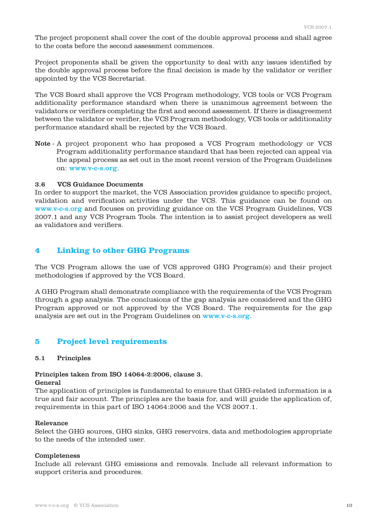The project proponent shall cover the cost of the double approval process and shall agree to the costs before the second assessment commences.

Project proponents shall be given the opportunity to deal with any issues identified by the double approval process before the final decision is made by the validator or verifier appointed by the VCS Secretariat.

The VCS Board shall approve the VCS Program methodology, VCS tools or VCS Program additionality performance standard when there is unanimous agreement between the validators or verifiers completing the first and second assessment. If there is disagreement between the validator or verifier, the VCS Program methodology, VCS tools or additionality performance standard shall be rejected by the VCS Board.

Note - A project proponent who has proposed a VCS Program methodology or VCS Program additionality performance standard that has been rejected can appeal via the appeal process as set out in the most recent version of the Program Guidelines on: www.v-c-s.org.

#### 3.6 VCS Guidance Documents

In order to support the market, the VCS Association provides guidance to specific project, validation and verification activities under the VCS. This guidance can be found on www.v-c-s.org and focuses on providing guidance on the VCS Program Guidelines, VCS 2007.1 and any VCS Program Tools. The intention is to assist project developers as well as validators and verifiers.

# **4 Linking to other GHG Programs**

The VCS Program allows the use of VCS approved GHG Program(s) and their project methodologies if approved by the VCS Board.

A GHG Program shall demonstrate compliance with the requirements of the VCS Program through a gap analysis. The conclusions of the gap analysis are considered and the GHG Program approved or not approved by the VCS Board. The requirements for the gap analysis are set out in the Program Guidelines on www.v-c-s.org.

# **5 Project level requirements**

#### 5.1 Principles

# Principles taken from ISO 14064-2:2006, clause 3.

# General

The application of principles is fundamental to ensure that GHG-related information is a true and fair account. The principles are the basis for, and will guide the application of, requirements in this part of ISO 14064:2006 and the VCS 2007.1.

#### Relevance

Select the GHG sources, GHG sinks, GHG reservoirs, data and methodologies appropriate to the needs of the intended user.

#### Completeness

Include all relevant GHG emissions and removals. Include all relevant information to support criteria and procedures.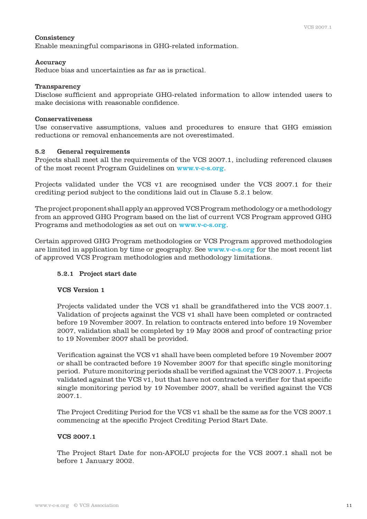### **Consistency**

Enable meaningful comparisons in GHG-related information.

#### Accuracy

Reduce bias and uncertainties as far as is practical.

#### Transparency

Disclose sufficient and appropriate GHG-related information to allow intended users to make decisions with reasonable confidence.

#### Conservativeness

Use conservative assumptions, values and procedures to ensure that GHG emission reductions or removal enhancements are not overestimated.

#### 5.2 General requirements

Projects shall meet all the requirements of the VCS 2007.1, including referenced clauses of the most recent Program Guidelines on www.v-c-s.org.

Projects validated under the VCS v1 are recognised under the VCS 2007.1 for their crediting period subject to the conditions laid out in Clause 5.2.1 below.

The project proponent shall apply an approved VCS Program methodology or a methodology from an approved GHG Program based on the list of current VCS Program approved GHG Programs and methodologies as set out on www.v-c-s.org.

Certain approved GHG Program methodologies or VCS Program approved methodologies are limited in application by time or geography. See www.v-c-s.org for the most recent list of approved VCS Program methodologies and methodology limitations.

# 5.2.1 Project start date

#### VCS Version 1

 Projects validated under the VCS v1 shall be grandfathered into the VCS 2007.1. Validation of projects against the VCS v1 shall have been completed or contracted before 19 November 2007. In relation to contracts entered into before 19 November 2007, validation shall be completed by 19 May 2008 and proof of contracting prior to 19 November 2007 shall be provided.

 Verification against the VCS v1 shall have been completed before 19 November 2007 or shall be contracted before 19 November 2007 for that specific single monitoring period. Future monitoring periods shall be verified against the VCS 2007.1. Projects validated against the VCS v1, but that have not contracted a verifier for that specific single monitoring period by 19 November 2007, shall be verified against the VCS 2007.1.

 The Project Crediting Period for the VCS v1 shall be the same as for the VCS 2007.1 commencing at the specific Project Crediting Period Start Date.

# VCS 2007.1

 The Project Start Date for non-AFOLU projects for the VCS 2007.1 shall not be before 1 January 2002.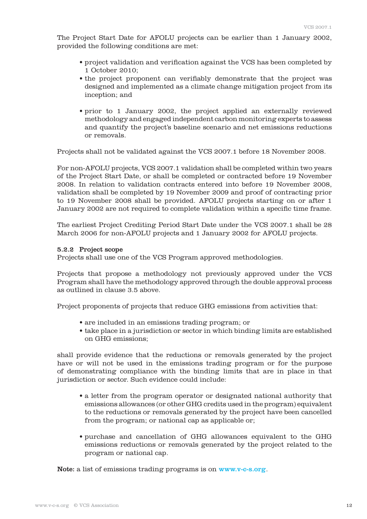The Project Start Date for AFOLU projects can be earlier than 1 January 2002, provided the following conditions are met:

- project validation and verification against the VCS has been completed by 1 October 2010;
- the project proponent can verifiably demonstrate that the project was designed and implemented as a climate change mitigation project from its inception; and
- prior to 1 January 2002, the project applied an externally reviewed methodology and engaged independent carbon monitoring experts to assess and quantify the project's baseline scenario and net emissions reductions or removals.

Projects shall not be validated against the VCS 2007.1 before 18 November 2008.

 For non-AFOLU projects, VCS 2007.1 validation shall be completed within two years of the Project Start Date, or shall be completed or contracted before 19 November 2008. In relation to validation contracts entered into before 19 November 2008, validation shall be completed by 19 November 2009 and proof of contracting prior to 19 November 2008 shall be provided. AFOLU projects starting on or after 1 January 2002 are not required to complete validation within a specific time frame.

 The earliest Project Crediting Period Start Date under the VCS 2007.1 shall be 28 March 2006 for non-AFOLU projects and 1 January 2002 for AFOLU projects.

#### 5.2.2 Project scope

Projects shall use one of the VCS Program approved methodologies.

 Projects that propose a methodology not previously approved under the VCS Program shall have the methodology approved through the double approval process as outlined in clause 3.5 above.

Project proponents of projects that reduce GHG emissions from activities that:

- are included in an emissions trading program; or
- take place in a jurisdiction or sector in which binding limits are established on GHG emissions;

 shall provide evidence that the reductions or removals generated by the project have or will not be used in the emissions trading program or for the purpose of demonstrating compliance with the binding limits that are in place in that jurisdiction or sector. Such evidence could include:

- a letter from the program operator or designated national authority that emissions allowances (or other GHG credits used in the program) equivalent to the reductions or removals generated by the project have been cancelled from the program; or national cap as applicable or;
- purchase and cancellation of GHG allowances equivalent to the GHG emissions reductions or removals generated by the project related to the program or national cap.

Note: a list of emissions trading programs is on www.v-c-s.org.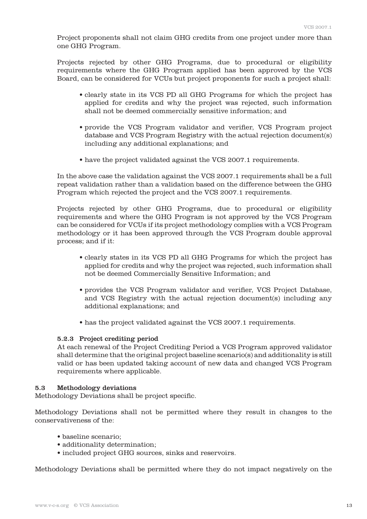Project proponents shall not claim GHG credits from one project under more than one GHG Program.

 Projects rejected by other GHG Programs, due to procedural or eligibility requirements where the GHG Program applied has been approved by the VCS Board, can be considered for VCUs but project proponents for such a project shall:

- clearly state in its VCS PD all GHG Programs for which the project has applied for credits and why the project was rejected, such information shall not be deemed commercially sensitive information; and
- provide the VCS Program validator and verifier, VCS Program project database and VCS Program Registry with the actual rejection document(s) including any additional explanations; and
- have the project validated against the VCS 2007.1 requirements.

 In the above case the validation against the VCS 2007.1 requirements shall be a full repeat validation rather than a validation based on the difference between the GHG Program which rejected the project and the VCS 2007.1 requirements.

 Projects rejected by other GHG Programs, due to procedural or eligibility requirements and where the GHG Program is not approved by the VCS Program can be considered for VCUs if its project methodology complies with a VCS Program methodology or it has been approved through the VCS Program double approval process; and if it:

- clearly states in its VCS PD all GHG Programs for which the project has applied for credits and why the project was rejected, such information shall not be deemed Commercially Sensitive Information; and
- provides the VCS Program validator and verifier, VCS Project Database, and VCS Registry with the actual rejection document(s) including any additional explanations; and
- has the project validated against the VCS 2007.1 requirements.

# 5.2.3 Project crediting period

 At each renewal of the Project Crediting Period a VCS Program approved validator shall determine that the original project baseline scenario(s) and additionality is still valid or has been updated taking account of new data and changed VCS Program requirements where applicable.

# 5.3 Methodology deviations

Methodology Deviations shall be project specific.

Methodology Deviations shall not be permitted where they result in changes to the conservativeness of the:

- baseline scenario;
- additionality determination;
- included project GHG sources, sinks and reservoirs.

Methodology Deviations shall be permitted where they do not impact negatively on the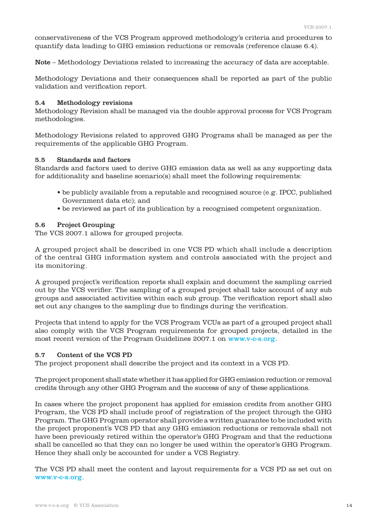conservativeness of the VCS Program approved methodology's criteria and procedures to quantify data leading to GHG emission reductions or removals (reference clause 6.4).

Note – Methodology Deviations related to increasing the accuracy of data are acceptable.

Methodology Deviations and their consequences shall be reported as part of the public validation and verification report.

#### 5.4 Methodology revisions

Methodology Revision shall be managed via the double approval process for VCS Program methodologies.

Methodology Revisions related to approved GHG Programs shall be managed as per the requirements of the applicable GHG Program.

#### 5.5 Standards and factors

Standards and factors used to derive GHG emission data as well as any supporting data for additionality and baseline scenario(s) shall meet the following requirements:

- be publicly available from a reputable and recognised source (e.g. IPCC, published Government data etc); and
- be reviewed as part of its publication by a recognised competent organization.

# 5.6 Project Grouping

The VCS 2007.1 allows for grouped projects.

A grouped project shall be described in one VCS PD which shall include a description of the central GHG information system and controls associated with the project and its monitoring.

A grouped project's verification reports shall explain and document the sampling carried out by the VCS verifier. The sampling of a grouped project shall take account of any sub groups and associated activities within each sub group. The verification report shall also set out any changes to the sampling due to findings during the verification.

Projects that intend to apply for the VCS Program VCUs as part of a grouped project shall also comply with the VCS Program requirements for grouped projects, detailed in the most recent version of the Program Guidelines 2007.1 on www.v-c-s.org.

# 5.7 Content of the VCS PD

The project proponent shall describe the project and its context in a VCS PD.

The project proponent shall state whether it has applied for GHG emission reduction or removal credits through any other GHG Program and the success of any of these applications.

In cases where the project proponent has applied for emission credits from another GHG Program, the VCS PD shall include proof of registration of the project through the GHG Program. The GHG Program operator shall provide a written guarantee to be included with the project proponent's VCS PD that any GHG emission reductions or removals shall not have been previously retired within the operator's GHG Program and that the reductions shall be cancelled so that they can no longer be used within the operator's GHG Program. Hence they shall only be accounted for under a VCS Registry.

The VCS PD shall meet the content and layout requirements for a VCS PD as set out on www.v-c-s.org.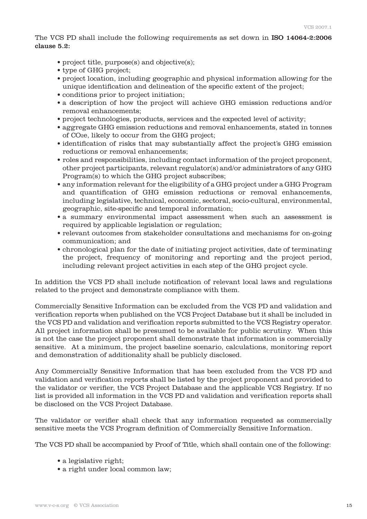The VCS PD shall include the following requirements as set down in ISO 14064-2:2006 clause 5.2:

- project title, purpose(s) and objective(s);
- type of GHG project;
- project location, including geographic and physical information allowing for the unique identification and delineation of the specific extent of the project;
- conditions prior to project initiation;
- a description of how the project will achieve GHG emission reductions and/or removal enhancements;
- project technologies, products, services and the expected level of activity;
- aggregate GHG emission reductions and removal enhancements, stated in tonnes of CO2e, likely to occur from the GHG project;
- identification of risks that may substantially affect the project's GHG emission reductions or removal enhancements;
- roles and responsibilities, including contact information of the project proponent, other project participants, relevant regulator(s) and/or administrators of any GHG Program(s) to which the GHG project subscribes;
- any information relevant for the eligibility of a GHG project under a GHG Program and quantification of GHG emission reductions or removal enhancements, including legislative, technical, economic, sectoral, socio-cultural, environmental, geographic, site-specific and temporal information;
- a summary environmental impact assessment when such an assessment is required by applicable legislation or regulation;
- relevant outcomes from stakeholder consultations and mechanisms for on-going communication; and
- chronological plan for the date of initiating project activities, date of terminating the project, frequency of monitoring and reporting and the project period, including relevant project activities in each step of the GHG project cycle.

In addition the VCS PD shall include notification of relevant local laws and regulations related to the project and demonstrate compliance with them.

Commercially Sensitive Information can be excluded from the VCS PD and validation and verification reports when published on the VCS Project Database but it shall be included in the VCS PD and validation and verification reports submitted to the VCS Registry operator. All project information shall be presumed to be available for public scrutiny. When this is not the case the project proponent shall demonstrate that information is commercially sensitive. At a minimum, the project baseline scenario, calculations, monitoring report and demonstration of additionality shall be publicly disclosed.

Any Commercially Sensitive Information that has been excluded from the VCS PD and validation and verification reports shall be listed by the project proponent and provided to the validator or verifier, the VCS Project Database and the applicable VCS Registry. If no list is provided all information in the VCS PD and validation and verification reports shall be disclosed on the VCS Project Database.

The validator or verifier shall check that any information requested as commercially sensitive meets the VCS Program definition of Commercially Sensitive Information.

The VCS PD shall be accompanied by Proof of Title, which shall contain one of the following:

- a legislative right;
- a right under local common law;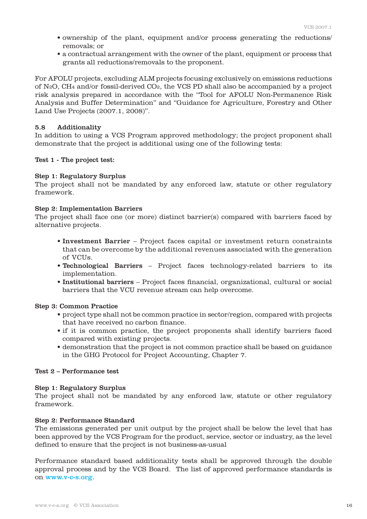- ownership of the plant, equipment and/or process generating the reductions/ removals; or
- a contractual arrangement with the owner of the plant, equipment or process that grants all reductions/removals to the proponent.

For AFOLU projects, excluding ALM projects focusing exclusively on emissions reductions of N2O, CH4 and/or fossil-derived CO2, the VCS PD shall also be accompanied by a project risk analysis prepared in accordance with the "Tool for AFOLU Non-Permanence Risk Analysis and Buffer Determination" and "Guidance for Agriculture, Forestry and Other Land Use Projects (2007.1, 2008)".

#### 5.8 Additionality

In addition to using a VCS Program approved methodology; the project proponent shall demonstrate that the project is additional using one of the following tests:

#### Test 1 - The project test:

#### Step 1: Regulatory Surplus

The project shall not be mandated by any enforced law, statute or other regulatory framework.

#### Step 2: Implementation Barriers

The project shall face one (or more) distinct barrier(s) compared with barriers faced by alternative projects.

- Investment Barrier Project faces capital or investment return constraints that can be overcome by the additional revenues associated with the generation of VCUs.
- Technological Barriers Project faces technology-related barriers to its implementation.
- Institutional barriers Project faces financial, organizational, cultural or social barriers that the VCU revenue stream can help overcome.

#### Step 3: Common Practice

- project type shall not be common practice in sector/region, compared with projects that have received no carbon finance.
- if it is common practice, the project proponents shall identify barriers faced compared with existing projects.
- demonstration that the project is not common practice shall be based on guidance in the GHG Protocol for Project Accounting, Chapter 7.

#### Test 2 – Performance test

#### Step 1: Regulatory Surplus

The project shall not be mandated by any enforced law, statute or other regulatory framework.

#### Step 2: Performance Standard

The emissions generated per unit output by the project shall be below the level that has been approved by the VCS Program for the product, service, sector or industry, as the level defined to ensure that the project is not business-as-usual

Performance standard based additionality tests shall be approved through the double approval process and by the VCS Board. The list of approved performance standards is on www.v-c-s.org.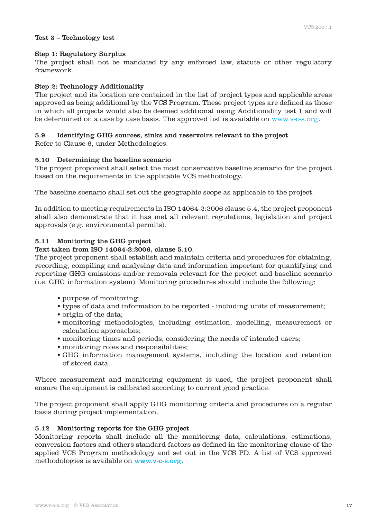#### Test 3 – Technology test

#### Step 1: Regulatory Surplus

The project shall not be mandated by any enforced law, statute or other regulatory framework.

### Step 2: Technology Additionality

The project and its location are contained in the list of project types and applicable areas approved as being additional by the VCS Program. These project types are defined as those in which all projects would also be deemed additional using Additionality test 1 and will be determined on a case by case basis. The approved list is available on www.v-c-s.org.

# 5.9 Identifying GHG sources, sinks and reservoirs relevant to the project

Refer to Clause 6, under Methodologies.

# 5.10 Determining the baseline scenario

The project proponent shall select the most conservative baseline scenario for the project based on the requirements in the applicable VCS methodology.

The baseline scenario shall set out the geographic scope as applicable to the project.

In addition to meeting requirements in ISO 14064-2:2006 clause 5.4, the project proponent shall also demonstrate that it has met all relevant regulations, legislation and project approvals (e.g. environmental permits).

# 5.11 Monitoring the GHG project

# Text taken from ISO 14064-2:2006, clause 5.10.

The project proponent shall establish and maintain criteria and procedures for obtaining, recording, compiling and analysing data and information important for quantifying and reporting GHG emissions and/or removals relevant for the project and baseline scenario (i.e. GHG information system). Monitoring procedures should include the following:

- purpose of monitoring;
- types of data and information to be reported including units of measurement;
- origin of the data;
- monitoring methodologies, including estimation, modelling, measurement or calculation approaches;
- monitoring times and periods, considering the needs of intended users;
- monitoring roles and responsibilities;
- GHG information management systems, including the location and retention of stored data.

Where measurement and monitoring equipment is used, the project proponent shall ensure the equipment is calibrated according to current good practice.

The project proponent shall apply GHG monitoring criteria and procedures on a regular basis during project implementation.

# 5.12 Monitoring reports for the GHG project

Monitoring reports shall include all the monitoring data, calculations, estimations, conversion factors and others standard factors as defined in the monitoring clause of the applied VCS Program methodology and set out in the VCS PD. A list of VCS approved methodologies is available on www.v-c-s.org.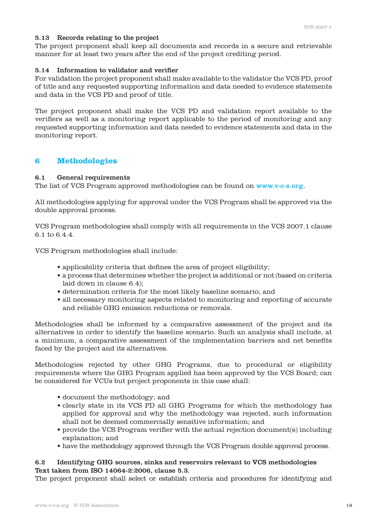# 5.13 Records relating to the project

The project proponent shall keep all documents and records in a secure and retrievable manner for at least two years after the end of the project crediting period.

# 5.14 Information to validator and verifier

For validation the project proponent shall make available to the validator the VCS PD, proof of title and any requested supporting information and data needed to evidence statements and data in the VCS PD and proof of title.

The project proponent shall make the VCS PD and validation report available to the verifiers as well as a monitoring report applicable to the period of monitoring and any requested supporting information and data needed to evidence statements and data in the monitoring report.

# **6 Methodologies**

# 6.1 General requirements

The list of VCS Program approved methodologies can be found on www.v-c-s.org.

All methodologies applying for approval under the VCS Program shall be approved via the double approval process.

VCS Program methodologies shall comply with all requirements in the VCS 2007.1 clause 6.1 to 6.4.4.

VCS Program methodologies shall include:

- applicability criteria that defines the area of project eligibility;
- a process that determines whether the project is additional or not (based on criteria laid down in clause 6.4);
- determination criteria for the most likely baseline scenario; and
- all necessary monitoring aspects related to monitoring and reporting of accurate and reliable GHG emission reductions or removals.

Methodologies shall be informed by a comparative assessment of the project and its alternatives in order to identify the baseline scenario. Such an analysis shall include, at a minimum, a comparative assessment of the implementation barriers and net benefits faced by the project and its alternatives.

Methodologies rejected by other GHG Programs, due to procedural or eligibility requirements where the GHG Program applied has been approved by the VCS Board; can be considered for VCUs but project proponents in this case shall:

- document the methodology; and
- clearly state in its VCS PD all GHG Programs for which the methodology has applied for approval and why the methodology was rejected, such information shall not be deemed commercially sensitive information; and
- provide the VCS Program verifier with the actual rejection document(s) including explanation; and
- have the methodology approved through the VCS Program double approval process.

# 6.2 Identifying GHG sources, sinks and reservoirs relevant to VCS methodologies Text taken from ISO 14064-2:2006, clause 5.3.

The project proponent shall select or establish criteria and procedures for identifying and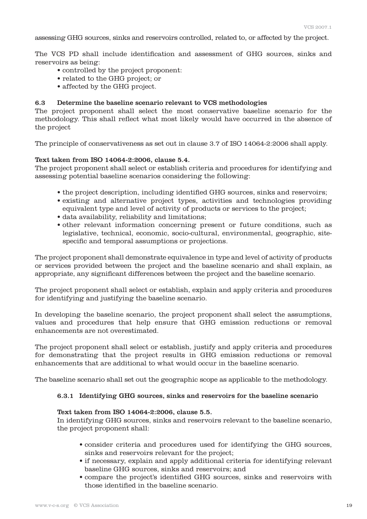assessing GHG sources, sinks and reservoirs controlled, related to, or affected by the project.

The VCS PD shall include identification and assessment of GHG sources, sinks and reservoirs as being:

- controlled by the project proponent:
- related to the GHG project; or
- affected by the GHG project.

#### 6.3 Determine the baseline scenario relevant to VCS methodologies

The project proponent shall select the most conservative baseline scenario for the methodology. This shall reflect what most likely would have occurred in the absence of the project

The principle of conservativeness as set out in clause 3.7 of ISO 14064-2:2006 shall apply.

#### Text taken from ISO 14064-2:2006, clause 5.4.

The project proponent shall select or establish criteria and procedures for identifying and assessing potential baseline scenarios considering the following:

- the project description, including identified GHG sources, sinks and reservoirs;
- existing and alternative project types, activities and technologies providing equivalent type and level of activity of products or services to the project;
- data availability, reliability and limitations;
- other relevant information concerning present or future conditions, such as legislative, technical, economic, socio-cultural, environmental, geographic, sitespecific and temporal assumptions or projections.

The project proponent shall demonstrate equivalence in type and level of activity of products or services provided between the project and the baseline scenario and shall explain, as appropriate, any significant differences between the project and the baseline scenario.

The project proponent shall select or establish, explain and apply criteria and procedures for identifying and justifying the baseline scenario.

In developing the baseline scenario, the project proponent shall select the assumptions, values and procedures that help ensure that GHG emission reductions or removal enhancements are not overestimated.

The project proponent shall select or establish, justify and apply criteria and procedures for demonstrating that the project results in GHG emission reductions or removal enhancements that are additional to what would occur in the baseline scenario.

The baseline scenario shall set out the geographic scope as applicable to the methodology.

#### 6.3.1 Identifying GHG sources, sinks and reservoirs for the baseline scenario

#### Text taken from ISO 14064-2:2006, clause 5.5.

 In identifying GHG sources, sinks and reservoirs relevant to the baseline scenario, the project proponent shall:

- consider criteria and procedures used for identifying the GHG sources, sinks and reservoirs relevant for the project;
- if necessary, explain and apply additional criteria for identifying relevant baseline GHG sources, sinks and reservoirs; and
- compare the project's identified GHG sources, sinks and reservoirs with those identified in the baseline scenario.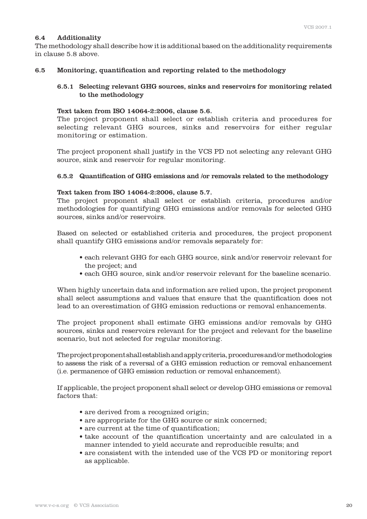# 6.4 Additionality

The methodology shall describe how it is additional based on the additionality requirements in clause 5.8 above.

# 6.5 Monitoring, quantification and reporting related to the methodology

# 6.5.1 Selecting relevant GHG sources, sinks and reservoirs for monitoring related to the methodology

# Text taken from ISO 14064-2:2006, clause 5.6.

 The project proponent shall select or establish criteria and procedures for selecting relevant GHG sources, sinks and reservoirs for either regular monitoring or estimation.

 The project proponent shall justify in the VCS PD not selecting any relevant GHG source, sink and reservoir for regular monitoring.

# 6.5.2 Quantification of GHG emissions and /or removals related to the methodology

# Text taken from ISO 14064-2:2006, clause 5.7.

 The project proponent shall select or establish criteria, procedures and/or methodologies for quantifying GHG emissions and/or removals for selected GHG sources, sinks and/or reservoirs.

Based on selected or established criteria and procedures, the project proponent shall quantify GHG emissions and/or removals separately for:

- each relevant GHG for each GHG source, sink and/or reservoir relevant for the project; and
- each GHG source, sink and/or reservoir relevant for the baseline scenario.

 When highly uncertain data and information are relied upon, the project proponent shall select assumptions and values that ensure that the quantification does not lead to an overestimation of GHG emission reductions or removal enhancements.

 The project proponent shall estimate GHG emissions and/or removals by GHG sources, sinks and reservoirs relevant for the project and relevant for the baseline scenario, but not selected for regular monitoring.

 The project proponent shall establish and apply criteria, procedures and/or methodologies to assess the risk of a reversal of a GHG emission reduction or removal enhancement (i.e. permanence of GHG emission reduction or removal enhancement).

 If applicable, the project proponent shall select or develop GHG emissions or removal factors that:

- are derived from a recognized origin;
- are appropriate for the GHG source or sink concerned;
- are current at the time of quantification;
- take account of the quantification uncertainty and are calculated in a manner intended to yield accurate and reproducible results; and
- are consistent with the intended use of the VCS PD or monitoring report as applicable.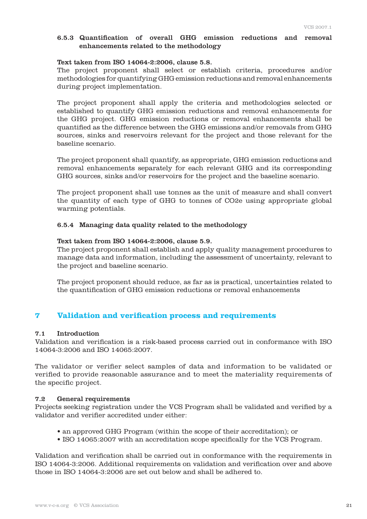### 6.5.3 Quantification of overall GHG emission reductions and removal enhancements related to the methodology

#### Text taken from ISO 14064-2:2006, clause 5.8.

 The project proponent shall select or establish criteria, procedures and/or methodologies for quantifying GHG emission reductions and removal enhancements during project implementation.

 The project proponent shall apply the criteria and methodologies selected or established to quantify GHG emission reductions and removal enhancements for the GHG project. GHG emission reductions or removal enhancements shall be quantified as the difference between the GHG emissions and/or removals from GHG sources, sinks and reservoirs relevant for the project and those relevant for the baseline scenario.

 The project proponent shall quantify, as appropriate, GHG emission reductions and removal enhancements separately for each relevant GHG and its corresponding GHG sources, sinks and/or reservoirs for the project and the baseline scenario.

 The project proponent shall use tonnes as the unit of measure and shall convert the quantity of each type of GHG to tonnes of CO2e using appropriate global warming potentials.

# 6.5.4 Managing data quality related to the methodology

#### Text taken from ISO 14064-2:2006, clause 5.9.

 The project proponent shall establish and apply quality management procedures to manage data and information, including the assessment of uncertainty, relevant to the project and baseline scenario.

 The project proponent should reduce, as far as is practical, uncertainties related to the quantification of GHG emission reductions or removal enhancements

# **7 Validation and verification process and requirements**

# 7.1 Introduction

Validation and verification is a risk-based process carried out in conformance with ISO 14064-3:2006 and ISO 14065:2007.

The validator or verifier select samples of data and information to be validated or verified to provide reasonable assurance and to meet the materiality requirements of the specific project.

#### 7.2 General requirements

Projects seeking registration under the VCS Program shall be validated and verified by a validator and verifier accredited under either:

- an approved GHG Program (within the scope of their accreditation); or
- ISO 14065:2007 with an accreditation scope specifically for the VCS Program.

Validation and verification shall be carried out in conformance with the requirements in ISO 14064-3:2006. Additional requirements on validation and verification over and above those in ISO 14064-3:2006 are set out below and shall be adhered to.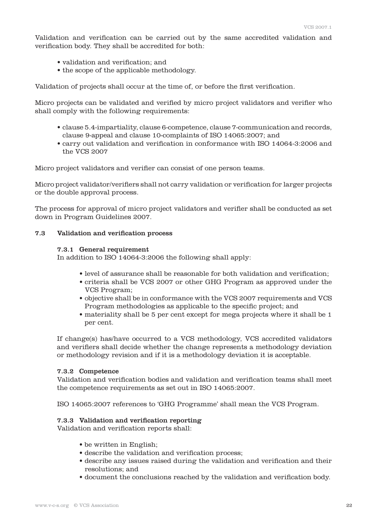Validation and verification can be carried out by the same accredited validation and verification body. They shall be accredited for both:

- validation and verification; and
- the scope of the applicable methodology.

Validation of projects shall occur at the time of, or before the first verification.

Micro projects can be validated and verified by micro project validators and verifier who shall comply with the following requirements:

- clause 5.4-impartiality, clause 6-competence, clause 7-communication and records, clause 9-appeal and clause 10-complaints of ISO 14065:2007; and
- carry out validation and verification in conformance with ISO 14064-3:2006 and the VCS 2007

Micro project validators and verifier can consist of one person teams.

Micro project validator/verifiers shall not carry validation or verification for larger projects or the double approval process.

The process for approval of micro project validators and verifier shall be conducted as set down in Program Guidelines 2007.

#### 7.3 Validation and verification process

#### 7.3.1 General requirement

In addition to ISO 14064-3:2006 the following shall apply:

- level of assurance shall be reasonable for both validation and verification;
- criteria shall be VCS 2007 or other GHG Program as approved under the VCS Program;
- objective shall be in conformance with the VCS 2007 requirements and VCS Program methodologies as applicable to the specific project; and
- materiality shall be 5 per cent except for mega projects where it shall be 1 per cent.

 If change(s) has/have occurred to a VCS methodology, VCS accredited validators and verifiers shall decide whether the change represents a methodology deviation or methodology revision and if it is a methodology deviation it is acceptable.

#### 7.3.2 Competence

 Validation and verification bodies and validation and verification teams shall meet the competence requirements as set out in ISO 14065:2007.

ISO 14065:2007 references to 'GHG Programme' shall mean the VCS Program.

#### 7.3.3 Validation and verification reporting

Validation and verification reports shall:

- be written in English;
- describe the validation and verification process;
- describe any issues raised during the validation and verification and their resolutions; and
- document the conclusions reached by the validation and verification body.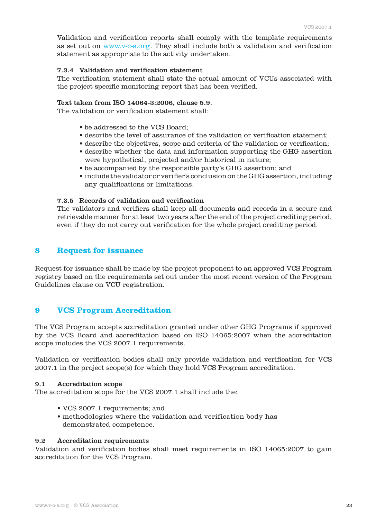Validation and verification reports shall comply with the template requirements as set out on www.v-c-s.org. They shall include both a validation and verification statement as appropriate to the activity undertaken.

# 7.3.4 Validation and verification statement

 The verification statement shall state the actual amount of VCUs associated with the project specific monitoring report that has been verified.

#### Text taken from ISO 14064-3:2006, clause 5.9.

The validation or verification statement shall:

- be addressed to the VCS Board;
- describe the level of assurance of the validation or verification statement;
- describe the objectives, scope and criteria of the validation or verification;
- describe whether the data and information supporting the GHG assertion were hypothetical, projected and/or historical in nature;
- be accompanied by the responsible party's GHG assertion; and
- include the validator or verifier's conclusion on the GHG assertion, including any qualifications or limitations.

#### 7.3.5 Records of validation and verification

 The validators and verifiers shall keep all documents and records in a secure and retrievable manner for at least two years after the end of the project crediting period, even if they do not carry out verification for the whole project crediting period.

# **8 Request for issuance**

Request for issuance shall be made by the project proponent to an approved VCS Program registry based on the requirements set out under the most recent version of the Program Guidelines clause on VCU registration.

# **9 VCS Program Accreditation**

The VCS Program accepts accreditation granted under other GHG Programs if approved by the VCS Board and accreditation based on ISO 14065:2007 when the accreditation scope includes the VCS 2007.1 requirements.

Validation or verification bodies shall only provide validation and verification for VCS 2007.1 in the project scope(s) for which they hold VCS Program accreditation.

#### 9.1 Accreditation scope

The accreditation scope for the VCS 2007.1 shall include the:

- VCS 2007.1 requirements; and
- methodologies where the validation and verification body has demonstrated competence.

#### 9.2 Accreditation requirements

Validation and verification bodies shall meet requirements in ISO 14065:2007 to gain accreditation for the VCS Program.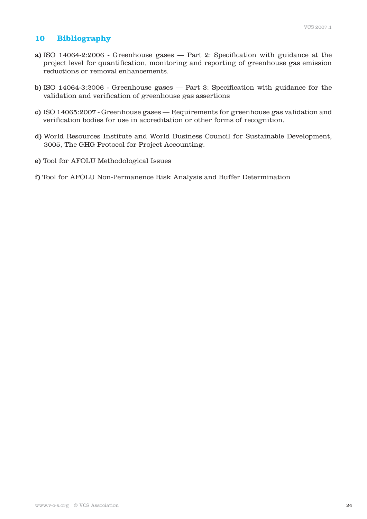# **10 Bibliography**

- a) ISO 14064-2:2006 Greenhouse gases Part 2: Specification with guidance at the project level for quantification, monitoring and reporting of greenhouse gas emission reductions or removal enhancements.
- b) ISO 14064-3:2006 Greenhouse gases Part 3: Specification with guidance for the validation and verification of greenhouse gas assertions
- c) ISO 14065:2007 Greenhouse gases Requirements for greenhouse gas validation and verification bodies for use in accreditation or other forms of recognition.
- d) World Resources Institute and World Business Council for Sustainable Development, 2005, The GHG Protocol for Project Accounting.
- e) Tool for AFOLU Methodological Issues
- f) Tool for AFOLU Non-Permanence Risk Analysis and Buffer Determination